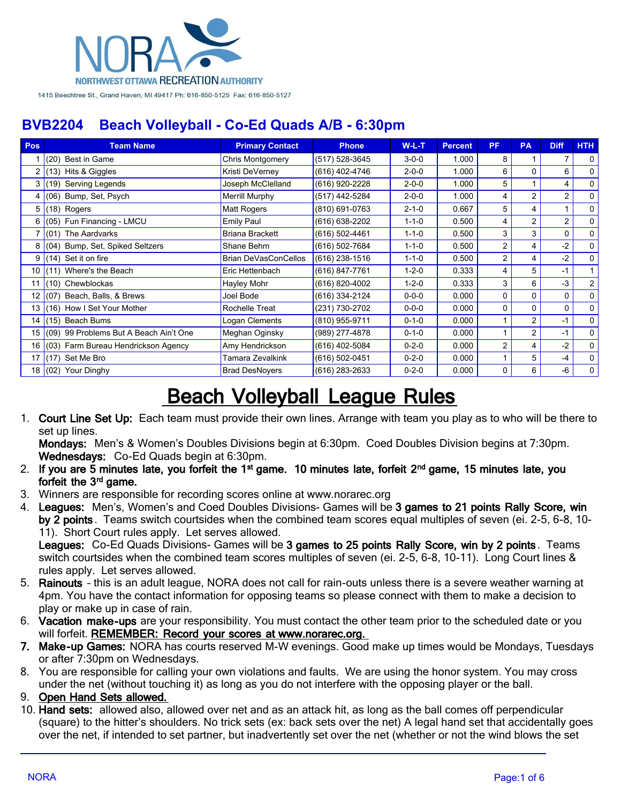

| Pos  | <b>Team Name</b>                          | <b>Primary Contact</b>      | <b>Phone</b>     | $W-L-T$     | <b>Percent</b> | <b>PF</b>      | <b>PA</b>      | <b>Diff</b>    | <b>HTH</b>     |
|------|-------------------------------------------|-----------------------------|------------------|-------------|----------------|----------------|----------------|----------------|----------------|
|      | (20)<br>Best in Game                      | Chris Montgomery            | (517) 528-3645   | $3 - 0 - 0$ | 1.000          | 8              |                |                | $\Omega$       |
|      | (13) Hits & Giggles                       | Kristi DeVerney             | (616) 402-4746   | $2 - 0 - 0$ | 1.000          | 6              | 0              | 6              | $\mathbf{0}$   |
|      | Serving Legends<br>(19)                   | Joseph McClelland           | (616) 920-2228   | $2 - 0 - 0$ | 1.000          | 5              |                | 4              | $\mathbf{0}$   |
| 4    | Bump, Set, Psych<br>(06)                  | <b>Merrill Murphy</b>       | (517) 442-5284   | $2 - 0 - 0$ | 1.000          | 4              | $\overline{2}$ | 2              | $\mathbf 0$    |
| 5.   | (18) Rogers                               | <b>Matt Rogers</b>          | (810) 691-0763   | $2 - 1 - 0$ | 0.667          | 5              | 4              |                | 0              |
| 6 I  | (05) Fun Financing - LMCU                 | Emily Paul                  | (616) 638-2202   | $1 - 1 - 0$ | 0.500          | 4              | $\overline{2}$ | $\overline{2}$ | $\Omega$       |
|      | $(01)$ The Aardvarks                      | <b>Briana Brackett</b>      | (616) 502-4461   | $1 - 1 - 0$ | 0.500          | 3              | 3              | 0              | 0              |
|      | (04) Bump, Set, Spiked Seltzers           | Shane Behm                  | (616) 502-7684   | $1 - 1 - 0$ | 0.500          | $\overline{2}$ | 4              | $-2$           | $\mathbf 0$    |
| 9    | Set it on fire<br>(14)                    | <b>Brian DeVasConCellos</b> | $(616)$ 238-1516 | $1 - 1 - 0$ | 0.500          | $\overline{2}$ | 4              | $-2$           | $\mathbf 0$    |
| 10   | (11) Where's the Beach                    | Eric Hettenbach             | (616) 847-7761   | $1 - 2 - 0$ | 0.333          | 4              | 5              | -1             |                |
| 11   | $(10)$ Chewblockas                        | Hayley Mohr                 | (616) 820-4002   | $1 - 2 - 0$ | 0.333          | 3              | 6              | $-3$           | 2 <sup>1</sup> |
| 12 I | (07) Beach, Balls, & Brews                | Joel Bode                   | (616) 334-2124   | $0 - 0 - 0$ | 0.000          | 0              | 0              | 0              | $\Omega$       |
| 13   | (16) How I Set Your Mother                | Rochelle Treat              | (231) 730-2702   | $0 - 0 - 0$ | 0.000          | $\Omega$       | $\Omega$       | 0              | 0              |
| 14   | (15) Beach Bums                           | Logan Clements              | (810) 955-9711   | $0 - 1 - 0$ | 0.000          |                | $\overline{2}$ | $-1$           | $\mathbf{0}$   |
|      | 15 (09) 99 Problems But A Beach Ain't One | Meghan Oginsky              | (989) 277-4878   | $0 - 1 - 0$ | 0.000          |                | $\overline{2}$ | -1             | $\Omega$       |
|      | 16 (03) Farm Bureau Hendrickson Agency    | Amy Hendrickson             | (616) 402-5084   | $0 - 2 - 0$ | 0.000          | $\overline{2}$ | 4              | $-2$           | 0              |
| 17   | (17) Set Me Bro                           | Tamara Zevalkink            | (616) 502-0451   | $0 - 2 - 0$ | 0.000          |                | 5              | $-4$           | $\mathbf 0$    |
|      | 18 (02) Your Dinghy                       | <b>Brad DesNoyers</b>       | (616) 283-2633   | $0 - 2 - 0$ | 0.000          | 0              | 6              | -6             | 0              |

# **Beach Volleyball League Rules**

1. **Court Line Set Up:** Each team must provide their own lines. Arrange with team you play as to who will be there to set up lines.

**Mondays:** Men's & Women's Doubles Divisions begin at 6:30pm. Coed Doubles Division begins at 7:30pm. **Wednesdays:** Co-Ed Quads begin at 6:30pm.

- 2. If you are 5 minutes late, you forfeit the 1<sup>st</sup> game. 10 minutes late, forfeit 2<sup>nd</sup> game, 15 minutes late, you forfeit the 3<sup>rd</sup> game.
- 3. Winners are responsible for recording scores online at www.norarec.org
- 4. **Leagues:** Men's, Women's and Coed Doubles Divisions- Games will be **3 games to 21 points Rally Score, win by 2 points** . Teams switch courtsides when the combined team scores equal multiples of seven (ei. 2-5, 6-8, 10- 11). Short Court rules apply. Let serves allowed.

**Leagues:** Co-Ed Quads Divisions- Games will be **3 games to 25 points Rally Score, win by 2 points** . Teams switch courtsides when the combined team scores multiples of seven (ei. 2-5, 6-8, 10-11). Long Court lines & rules apply. Let serves allowed.

- 5. **Rainouts** this is an adult league, NORA does not call for rain-outs unless there is a severe weather warning at 4pm. You have the contact information for opposing teams so please connect with them to make a decision to play or make up in case of rain.
- 6. **Vacation make-ups** are your responsibility. You must contact the other team prior to the scheduled date or you will forfeit. **REMEMBER: Record your scores at www.norarec.org.**
- **7. Make-up Games:** NORA has courts reserved M-W evenings. Good make up times would be Mondays, Tuesdays or after 7:30pm on Wednesdays.
- 8. You are responsible for calling your own violations and faults. We are using the honor system. You may cross under the net (without touching it) as long as you do not interfere with the opposing player or the ball.
- 9. **Open Hand Sets allowed.**
- 10. **Hand sets:** allowed also, allowed over net and as an attack hit, as long as the ball comes off perpendicular (square) to the hitter's shoulders. No trick sets (ex: back sets over the net) A legal hand set that accidentally goes over the net, if intended to set partner, but inadvertently set over the net (whether or not the wind blows the set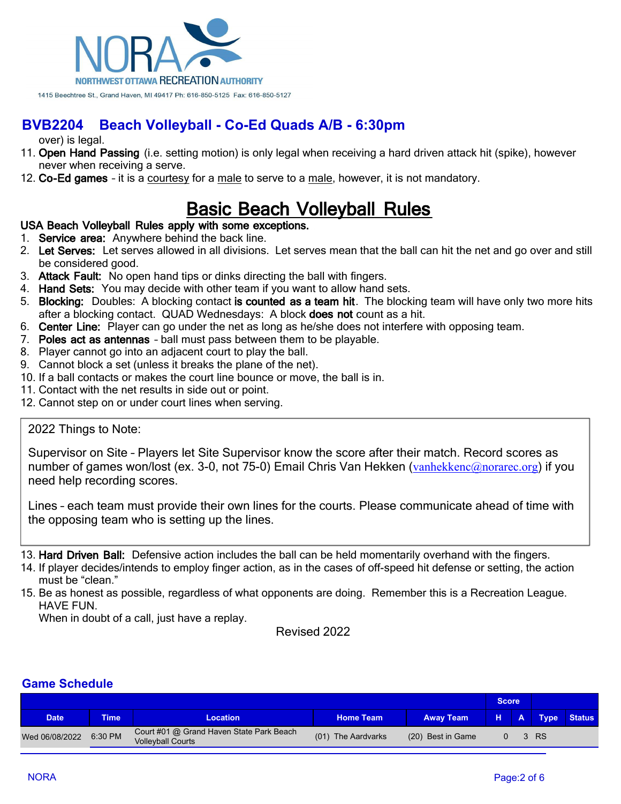

over) is legal.

- 11. **Open Hand Passing** (i.e. setting motion) is only legal when receiving a hard driven attack hit (spike), however never when receiving a serve.
- 12. **Co-Ed games** it is a courtesy for a male to serve to a male, however, it is not mandatory.

## **Basic Beach Volleyball Rules**

#### **USA Beach Volleyball Rules apply with some exceptions.**

- 1. **Service area:** Anywhere behind the back line.
- 2. **Let Serves:** Let serves allowed in all divisions. Let serves mean that the ball can hit the net and go over and still be considered good.
- 3. **Attack Fault:** No open hand tips or dinks directing the ball with fingers.
- 4. **Hand Sets:** You may decide with other team if you want to allow hand sets.
- 5. **Blocking:** Doubles: A blocking contact **is counted as a team hit**. The blocking team will have only two more hits after a blocking contact. QUAD Wednesdays: A block **does not** count as a hit.
- 6. **Center Line:** Player can go under the net as long as he/she does not interfere with opposing team.
- 7. **Poles act as antennas** ball must pass between them to be playable.
- 8. Player cannot go into an adjacent court to play the ball.
- 9. Cannot block a set (unless it breaks the plane of the net).
- 10. If a ball contacts or makes the court line bounce or move, the ball is in.
- 11. Contact with the net results in side out or point.
- 12. Cannot step on or under court lines when serving.

#### 2022 Things to Note:

Supervisor on Site – Players let Site Supervisor know the score after their match. Record scores as number of games won/lost (ex. 3-0, not 75-0) Email Chris Van Hekken ([vanhekkenc@norarec.org](mailto:vanhekkenc@norarec.org)) if you need help recording scores.

Lines – each team must provide their own lines for the courts. Please communicate ahead of time with the opposing team who is setting up the lines.

- 13. **Hard Driven Ball:** Defensive action includes the ball can be held momentarily overhand with the fingers.
- 14. If player decides/intends to employ finger action, as in the cases of off-speed hit defense or setting, the action must be "clean."
- 15. Be as honest as possible, regardless of what opponents are doing. Remember this is a Recreation League. HAVE FUN.

When in doubt of a call, just have a replay.

Revised 2022

| <b>Date</b>    | <b>Time</b> | <b>Location</b>                                                      | <b>Home Team</b>   | <b>Away Team</b>  |  |  | <b>Type</b> | <b>Status</b> |
|----------------|-------------|----------------------------------------------------------------------|--------------------|-------------------|--|--|-------------|---------------|
| Wed 06/08/2022 | 6:30 PM     | Court #01 @ Grand Haven State Park Beach<br><b>Vollevball Courts</b> | (01) The Aardvarks | (20) Best in Game |  |  | 3 RS        |               |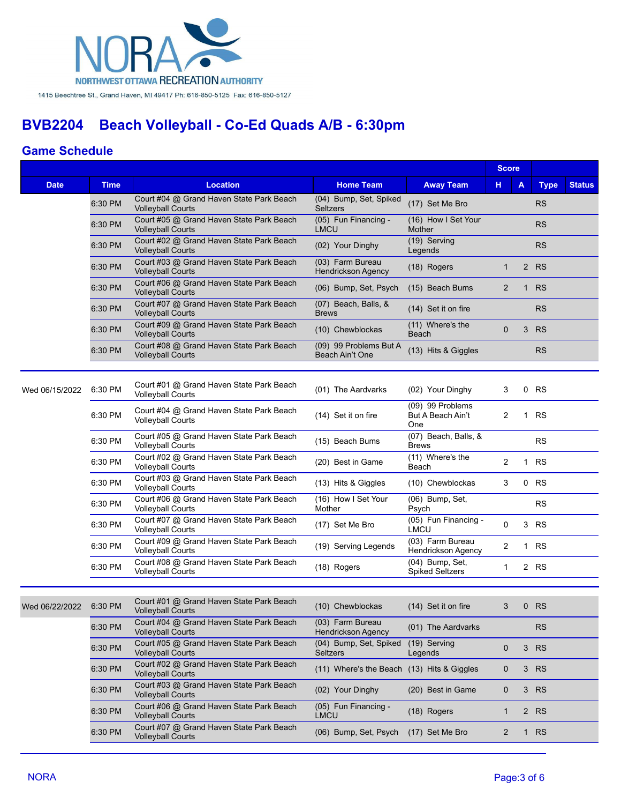

|                        |             |                                                                      |                                            |                                              | <b>Score</b>   |              |             |               |
|------------------------|-------------|----------------------------------------------------------------------|--------------------------------------------|----------------------------------------------|----------------|--------------|-------------|---------------|
| <b>Date</b>            | <b>Time</b> | <b>Location</b>                                                      | <b>Home Team</b>                           | <b>Away Team</b>                             | н.             | A            | <b>Type</b> | <b>Status</b> |
|                        | 6:30 PM     | Court #04 @ Grand Haven State Park Beach<br><b>Volleyball Courts</b> | (04) Bump, Set, Spiked<br><b>Seltzers</b>  | (17) Set Me Bro                              |                |              | <b>RS</b>   |               |
|                        | 6:30 PM     | Court #05 @ Grand Haven State Park Beach<br><b>Volleyball Courts</b> | (05) Fun Financing -<br><b>LMCU</b>        | (16) How I Set Your<br>Mother                |                |              | <b>RS</b>   |               |
|                        | 6:30 PM     | Court #02 @ Grand Haven State Park Beach<br><b>Volleyball Courts</b> | (02) Your Dinghy                           | (19) Serving<br>Legends                      |                |              | <b>RS</b>   |               |
|                        | 6:30 PM     | Court #03 @ Grand Haven State Park Beach<br><b>Volleyball Courts</b> | (03) Farm Bureau<br>Hendrickson Agency     | (18) Rogers                                  | $\mathbf{1}$   |              | 2 RS        |               |
|                        | 6:30 PM     | Court #06 @ Grand Haven State Park Beach<br><b>Volleyball Courts</b> | (06) Bump, Set, Psych                      | (15) Beach Bums                              | $\overline{2}$ | $\mathbf{1}$ | <b>RS</b>   |               |
|                        | 6:30 PM     | Court #07 @ Grand Haven State Park Beach<br><b>Volleyball Courts</b> | (07) Beach, Balls, &<br><b>Brews</b>       | (14) Set it on fire                          |                |              | <b>RS</b>   |               |
|                        | 6:30 PM     | Court #09 @ Grand Haven State Park Beach<br><b>Volleyball Courts</b> | (10) Chewblockas                           | (11) Where's the<br>Beach                    | $\mathbf{0}$   | 3            | <b>RS</b>   |               |
|                        | 6:30 PM     | Court #08 @ Grand Haven State Park Beach<br><b>Volleyball Courts</b> | (09) 99 Problems But A<br>Beach Ain't One  | (13) Hits & Giggles                          |                |              | <b>RS</b>   |               |
|                        |             |                                                                      |                                            |                                              |                |              |             |               |
| Wed 06/15/2022         | 6:30 PM     | Court #01 @ Grand Haven State Park Beach<br><b>Volleyball Courts</b> | (01) The Aardvarks                         | (02) Your Dinghy                             | 3              |              | 0 RS        |               |
|                        | 6:30 PM     | Court #04 @ Grand Haven State Park Beach<br><b>Volleyball Courts</b> | (14) Set it on fire                        | (09) 99 Problems<br>But A Beach Ain't<br>One | 2              | $\mathbf 1$  | <b>RS</b>   |               |
|                        | 6:30 PM     | Court #05 @ Grand Haven State Park Beach<br>Volleyball Courts        | (15) Beach Bums                            | (07) Beach, Balls, &<br><b>Brews</b>         |                |              | <b>RS</b>   |               |
|                        | 6:30 PM     | Court #02 @ Grand Haven State Park Beach<br><b>Volleyball Courts</b> | (20) Best in Game                          | (11) Where's the<br>Beach                    | 2              |              | 1 RS        |               |
|                        | 6:30 PM     | Court #03 @ Grand Haven State Park Beach<br><b>Volleyball Courts</b> | (13) Hits & Giggles                        | (10) Chewblockas                             | 3              | $\mathbf 0$  | <b>RS</b>   |               |
|                        | 6:30 PM     | Court #06 @ Grand Haven State Park Beach<br><b>Volleyball Courts</b> | (16) How I Set Your<br>Mother              | (06) Bump, Set,<br>Psych                     |                |              | <b>RS</b>   |               |
|                        | 6:30 PM     | Court #07 @ Grand Haven State Park Beach<br><b>Volleyball Courts</b> | (17) Set Me Bro                            | (05) Fun Financing -<br><b>LMCU</b>          | 0              |              | 3 RS        |               |
|                        | 6:30 PM     | Court #09 @ Grand Haven State Park Beach<br><b>Volleyball Courts</b> | (19) Serving Legends                       | (03) Farm Bureau<br>Hendrickson Agency       | 2              |              | 1 RS        |               |
|                        | 6:30 PM     | Court #08 @ Grand Haven State Park Beach<br><b>Volleyball Courts</b> | (18) Rogers                                | (04) Bump, Set,<br><b>Spiked Seltzers</b>    | 1              |              | 2 RS        |               |
|                        |             |                                                                      |                                            |                                              |                |              |             |               |
| Wed 06/22/2022 6:30 PM |             | Court #01 @ Grand Haven State Park Beach<br><b>Volleyball Courts</b> | (10) Chewblockas                           | (14) Set it on fire                          | 3              |              | $0$ RS      |               |
|                        | 6:30 PM     | Court #04 @ Grand Haven State Park Beach<br><b>Volleyball Courts</b> | (03) Farm Bureau<br>Hendrickson Agency     | (01) The Aardvarks                           |                |              | <b>RS</b>   |               |
|                        | 6:30 PM     | Court #05 @ Grand Haven State Park Beach<br><b>Volleyball Courts</b> | (04) Bump, Set, Spiked<br><b>Seltzers</b>  | (19) Serving<br>Legends                      | $\mathbf 0$    | 3            | <b>RS</b>   |               |
|                        | 6:30 PM     | Court #02 @ Grand Haven State Park Beach<br><b>Volleyball Courts</b> | (11) Where's the Beach (13) Hits & Giggles |                                              | 0              |              | 3 RS        |               |
|                        | 6:30 PM     | Court #03 @ Grand Haven State Park Beach<br><b>Volleyball Courts</b> | (02) Your Dinghy                           | (20) Best in Game                            | $\mathbf 0$    |              | 3 RS        |               |
|                        | 6:30 PM     | Court #06 @ Grand Haven State Park Beach<br><b>Volleyball Courts</b> | (05) Fun Financing -<br>LMCU               | (18) Rogers                                  | $\mathbf{1}$   |              | 2 RS        |               |
|                        | 6:30 PM     | Court #07 @ Grand Haven State Park Beach<br><b>Volleyball Courts</b> | (06) Bump, Set, Psych                      | (17) Set Me Bro                              | 2              |              | 1 RS        |               |
|                        |             |                                                                      |                                            |                                              |                |              |             |               |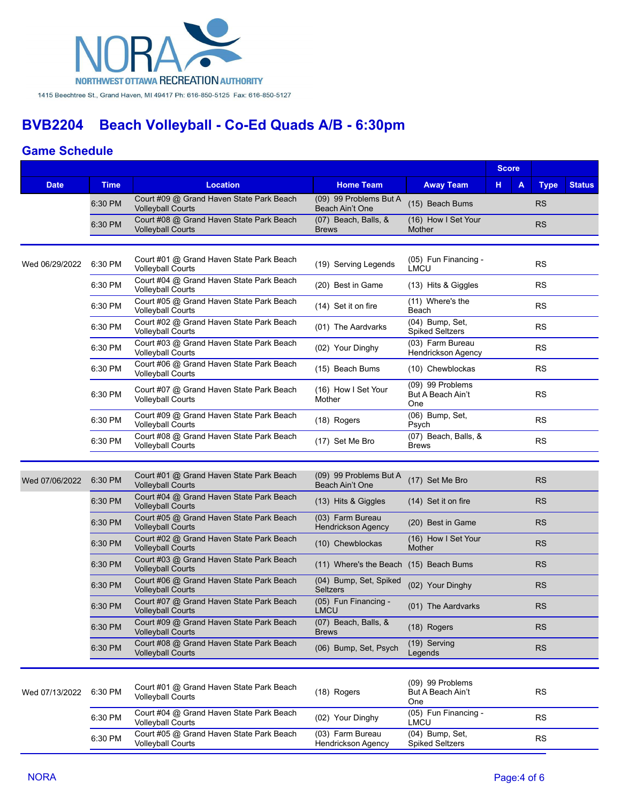

|                |             |                                                                      |                                               |                                              | <b>Score</b> |             |               |
|----------------|-------------|----------------------------------------------------------------------|-----------------------------------------------|----------------------------------------------|--------------|-------------|---------------|
| <b>Date</b>    | <b>Time</b> | <b>Location</b>                                                      | <b>Home Team</b>                              | <b>Away Team</b>                             | н<br>Α       | <b>Type</b> | <b>Status</b> |
|                | 6:30 PM     | Court #09 @ Grand Haven State Park Beach<br><b>Volleyball Courts</b> | (09) 99 Problems But A<br>Beach Ain't One     | (15) Beach Bums                              |              | <b>RS</b>   |               |
|                | 6:30 PM     | Court #08 @ Grand Haven State Park Beach<br><b>Volleyball Courts</b> | (07) Beach, Balls, &<br><b>Brews</b>          | (16) How I Set Your<br><b>Mother</b>         |              | <b>RS</b>   |               |
|                |             |                                                                      |                                               |                                              |              |             |               |
| Wed 06/29/2022 | 6:30 PM     | Court #01 @ Grand Haven State Park Beach<br><b>Volleyball Courts</b> | (19) Serving Legends                          | (05) Fun Financing -<br>LMCU                 |              | <b>RS</b>   |               |
|                | 6:30 PM     | Court #04 @ Grand Haven State Park Beach<br><b>Volleyball Courts</b> | (20) Best in Game                             | (13) Hits & Giggles                          |              | <b>RS</b>   |               |
|                | 6:30 PM     | Court #05 @ Grand Haven State Park Beach<br><b>Volleyball Courts</b> | (14) Set it on fire                           | (11) Where's the<br>Beach                    |              | <b>RS</b>   |               |
|                | 6:30 PM     | Court #02 @ Grand Haven State Park Beach<br><b>Volleyball Courts</b> | (01) The Aardvarks                            | (04) Bump, Set,<br><b>Spiked Seltzers</b>    |              | <b>RS</b>   |               |
|                | 6:30 PM     | Court #03 @ Grand Haven State Park Beach<br><b>Volleyball Courts</b> | (02) Your Dinghy                              | (03) Farm Bureau<br>Hendrickson Agency       |              | <b>RS</b>   |               |
|                | 6:30 PM     | Court #06 @ Grand Haven State Park Beach<br><b>Volleyball Courts</b> | (15) Beach Bums                               | (10) Chewblockas                             |              | <b>RS</b>   |               |
|                | 6:30 PM     | Court #07 @ Grand Haven State Park Beach<br><b>Volleyball Courts</b> | (16) How I Set Your<br>Mother                 | (09) 99 Problems<br>But A Beach Ain't<br>One |              | <b>RS</b>   |               |
|                | 6:30 PM     | Court #09 @ Grand Haven State Park Beach<br><b>Volleyball Courts</b> | (18) Rogers                                   | (06) Bump, Set,<br>Psych                     |              | <b>RS</b>   |               |
|                | 6:30 PM     | Court #08 @ Grand Haven State Park Beach<br><b>Volleyball Courts</b> | (17) Set Me Bro                               | (07) Beach, Balls, &<br><b>Brews</b>         |              | <b>RS</b>   |               |
|                |             |                                                                      |                                               |                                              |              |             |               |
| Wed 07/06/2022 | 6:30 PM     | Court #01 @ Grand Haven State Park Beach<br><b>Volleyball Courts</b> | (09) 99 Problems But A<br>Beach Ain't One     | (17) Set Me Bro                              |              | <b>RS</b>   |               |
|                | 6:30 PM     | Court #04 @ Grand Haven State Park Beach<br><b>Volleyball Courts</b> | (13) Hits & Giggles                           | (14) Set it on fire                          |              | <b>RS</b>   |               |
|                | 6:30 PM     | Court #05 @ Grand Haven State Park Beach<br><b>Volleyball Courts</b> | (03) Farm Bureau<br><b>Hendrickson Agency</b> | (20) Best in Game                            |              | <b>RS</b>   |               |
|                | 6:30 PM     | Court #02 @ Grand Haven State Park Beach<br><b>Volleyball Courts</b> | (10) Chewblockas                              | (16) How I Set Your<br>Mother                |              | <b>RS</b>   |               |
|                | 6:30 PM     | Court #03 @ Grand Haven State Park Beach<br><b>Volleyball Courts</b> | (11) Where's the Beach (15) Beach Bums        |                                              |              | <b>RS</b>   |               |
|                | 6:30 PM     | Court #06 @ Grand Haven State Park Beach<br><b>Volleyball Courts</b> | (04) Bump, Set, Spiked<br><b>Seltzers</b>     | (02) Your Dinghy                             |              | <b>RS</b>   |               |
|                | 6:30 PM     | Court #07 @ Grand Haven State Park Beach<br><b>Volleyball Courts</b> | (05) Fun Financing -<br><b>LMCU</b>           | (01) The Aardvarks                           |              | <b>RS</b>   |               |
|                | 6:30 PM     | Court #09 @ Grand Haven State Park Beach<br><b>Volleyball Courts</b> | $(07)$ Beach, Balls, $&$<br><b>Brews</b>      | (18) Rogers                                  |              | <b>RS</b>   |               |
|                | 6:30 PM     | Court #08 @ Grand Haven State Park Beach<br><b>Volleyball Courts</b> | (06) Bump, Set, Psych                         | (19) Serving<br>Legends                      |              | <b>RS</b>   |               |
|                |             |                                                                      |                                               |                                              |              |             |               |
| Wed 07/13/2022 | 6:30 PM     | Court #01 @ Grand Haven State Park Beach<br><b>Volleyball Courts</b> | (18) Rogers                                   | (09) 99 Problems<br>But A Beach Ain't<br>One |              | <b>RS</b>   |               |
|                | 6:30 PM     | Court #04 @ Grand Haven State Park Beach<br><b>Volleyball Courts</b> | (02) Your Dinghy                              | (05) Fun Financing -<br>LMCU                 |              | <b>RS</b>   |               |
|                | 6:30 PM     | Court #05 @ Grand Haven State Park Beach<br><b>Volleyball Courts</b> | (03) Farm Bureau<br>Hendrickson Agency        | (04) Bump, Set,<br>Spiked Seltzers           |              | <b>RS</b>   |               |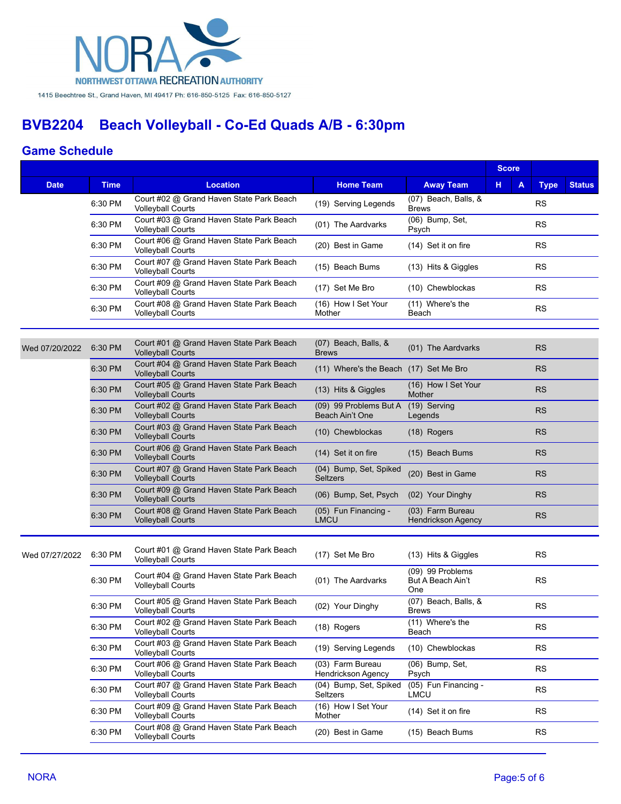

|  |                |                                                                                                    |                                                                      |                                           |                                               | <b>Score</b> |   |             |               |
|--|----------------|----------------------------------------------------------------------------------------------------|----------------------------------------------------------------------|-------------------------------------------|-----------------------------------------------|--------------|---|-------------|---------------|
|  | <b>Date</b>    | <b>Time</b>                                                                                        | <b>Location</b>                                                      | <b>Home Team</b>                          | <b>Away Team</b>                              | н            | A | <b>Type</b> | <b>Status</b> |
|  |                | 6:30 PM                                                                                            | Court #02 @ Grand Haven State Park Beach<br><b>Volleyball Courts</b> | (19) Serving Legends                      | (07) Beach, Balls, &<br><b>Brews</b>          |              |   | <b>RS</b>   |               |
|  |                | 6:30 PM                                                                                            | Court #03 @ Grand Haven State Park Beach<br>Volleyball Courts        | (01) The Aardvarks                        | (06) Bump, Set,<br>Psych                      |              |   | <b>RS</b>   |               |
|  |                | 6:30 PM                                                                                            | Court #06 @ Grand Haven State Park Beach<br>Volleyball Courts        | (20) Best in Game                         | (14) Set it on fire                           |              |   | <b>RS</b>   |               |
|  |                | Court #07 @ Grand Haven State Park Beach<br>6:30 PM<br>(15) Beach Bums<br><b>Volleyball Courts</b> |                                                                      |                                           | (13) Hits & Giggles                           |              |   | <b>RS</b>   |               |
|  |                | 6:30 PM                                                                                            | Court #09 @ Grand Haven State Park Beach<br><b>Volleyball Courts</b> | (17) Set Me Bro                           | (10) Chewblockas                              |              |   | <b>RS</b>   |               |
|  |                | 6:30 PM                                                                                            | Court #08 @ Grand Haven State Park Beach<br><b>Volleyball Courts</b> | (16) How I Set Your<br>Mother             | (11) Where's the<br>Beach                     |              |   | <b>RS</b>   |               |
|  |                |                                                                                                    |                                                                      |                                           |                                               |              |   |             |               |
|  | Wed 07/20/2022 | 6:30 PM                                                                                            | Court #01 @ Grand Haven State Park Beach<br><b>Volleyball Courts</b> | (07) Beach, Balls, &<br><b>Brews</b>      | (01) The Aardvarks                            |              |   | <b>RS</b>   |               |
|  |                | 6:30 PM                                                                                            | Court #04 @ Grand Haven State Park Beach<br><b>Volleyball Courts</b> | (11) Where's the Beach (17) Set Me Bro    |                                               |              |   | <b>RS</b>   |               |
|  |                | 6:30 PM                                                                                            | Court #05 @ Grand Haven State Park Beach<br><b>Volleyball Courts</b> | (13) Hits & Giggles                       | (16) How I Set Your<br>Mother                 |              |   | <b>RS</b>   |               |
|  |                | 6:30 PM                                                                                            | Court #02 @ Grand Haven State Park Beach<br><b>Volleyball Courts</b> | (09) 99 Problems But A<br>Beach Ain't One | (19) Serving<br>Legends                       |              |   | <b>RS</b>   |               |
|  |                | 6:30 PM                                                                                            | Court #03 @ Grand Haven State Park Beach<br><b>Volleyball Courts</b> | (10) Chewblockas                          | $(18)$ Rogers                                 |              |   | <b>RS</b>   |               |
|  |                | 6:30 PM                                                                                            | Court #06 @ Grand Haven State Park Beach<br><b>Volleyball Courts</b> | (14) Set it on fire                       | (15) Beach Bums                               |              |   | <b>RS</b>   |               |
|  |                | 6:30 PM                                                                                            | Court #07 @ Grand Haven State Park Beach<br><b>Volleyball Courts</b> | (04) Bump, Set, Spiked<br><b>Seltzers</b> | (20) Best in Game                             |              |   | <b>RS</b>   |               |
|  |                | 6:30 PM                                                                                            | Court #09 @ Grand Haven State Park Beach<br><b>Volleyball Courts</b> | (06) Bump, Set, Psych                     | (02) Your Dinghy                              |              |   | <b>RS</b>   |               |
|  |                | 6:30 PM                                                                                            | Court #08 @ Grand Haven State Park Beach<br><b>Volleyball Courts</b> | (05) Fun Financing -<br><b>LMCU</b>       | (03) Farm Bureau<br><b>Hendrickson Agency</b> |              |   | <b>RS</b>   |               |
|  |                |                                                                                                    |                                                                      |                                           |                                               |              |   |             |               |
|  | Wed 07/27/2022 | 6:30 PM                                                                                            | Court #01 @ Grand Haven State Park Beach<br><b>Volleyball Courts</b> | (17) Set Me Bro                           | (13) Hits & Giggles                           |              |   | <b>RS</b>   |               |
|  |                | 6:30 PM                                                                                            | Court #04 @ Grand Haven State Park Beach<br><b>Volleyball Courts</b> | (01) The Aardvarks                        | (09) 99 Problems<br>But A Beach Ain't<br>One  |              |   | <b>RS</b>   |               |
|  |                | 6:30 PM                                                                                            | Court #05 @ Grand Haven State Park Beach<br><b>Volleyball Courts</b> | (02) Your Dinghy                          | (07) Beach, Balls, &<br><b>Brews</b>          |              |   | <b>RS</b>   |               |
|  |                | 6:30 PM                                                                                            | Court #02 @ Grand Haven State Park Beach<br><b>Volleyball Courts</b> | (18) Rogers                               | (11) Where's the<br>Beach                     |              |   | <b>RS</b>   |               |
|  |                | 6:30 PM                                                                                            | Court #03 @ Grand Haven State Park Beach<br><b>Volleyball Courts</b> | (19) Serving Legends                      | (10) Chewblockas                              |              |   | <b>RS</b>   |               |
|  |                | 6:30 PM                                                                                            | Court #06 @ Grand Haven State Park Beach<br><b>Volleyball Courts</b> | (03) Farm Bureau<br>Hendrickson Agency    | (06) Bump, Set,<br>Psych                      |              |   | <b>RS</b>   |               |
|  |                | 6:30 PM                                                                                            | Court #07 @ Grand Haven State Park Beach<br><b>Volleyball Courts</b> | (04) Bump, Set, Spiked<br><b>Seltzers</b> | (05) Fun Financing -<br><b>LMCU</b>           |              |   | <b>RS</b>   |               |
|  |                | 6:30 PM                                                                                            | Court #09 @ Grand Haven State Park Beach<br><b>Volleyball Courts</b> | (16) How I Set Your<br>Mother             | (14) Set it on fire                           |              |   | <b>RS</b>   |               |
|  |                | 6:30 PM                                                                                            | Court #08 @ Grand Haven State Park Beach<br><b>Volleyball Courts</b> | (20) Best in Game                         | (15) Beach Bums                               |              |   | <b>RS</b>   |               |
|  |                |                                                                                                    |                                                                      |                                           |                                               |              |   |             |               |